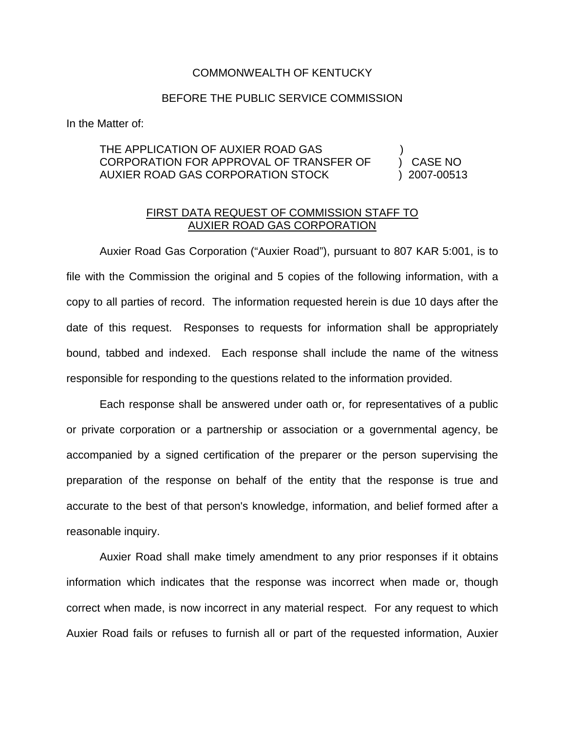## COMMONWEALTH OF KENTUCKY

## BEFORE THE PUBLIC SERVICE COMMISSION

In the Matter of:

## THE APPLICATION OF AUXIER ROAD GAS CORPORATION FOR APPROVAL OF TRANSFER OF ) CASE NO AUXIER ROAD GAS CORPORATION STOCK ) 2007-00513

## FIRST DATA REQUEST OF COMMISSION STAFF TO AUXIER ROAD GAS CORPORATION

Auxier Road Gas Corporation ("Auxier Road"), pursuant to 807 KAR 5:001, is to file with the Commission the original and 5 copies of the following information, with a copy to all parties of record. The information requested herein is due 10 days after the date of this request. Responses to requests for information shall be appropriately bound, tabbed and indexed. Each response shall include the name of the witness responsible for responding to the questions related to the information provided.

Each response shall be answered under oath or, for representatives of a public or private corporation or a partnership or association or a governmental agency, be accompanied by a signed certification of the preparer or the person supervising the preparation of the response on behalf of the entity that the response is true and accurate to the best of that person's knowledge, information, and belief formed after a reasonable inquiry.

Auxier Road shall make timely amendment to any prior responses if it obtains information which indicates that the response was incorrect when made or, though correct when made, is now incorrect in any material respect. For any request to which Auxier Road fails or refuses to furnish all or part of the requested information, Auxier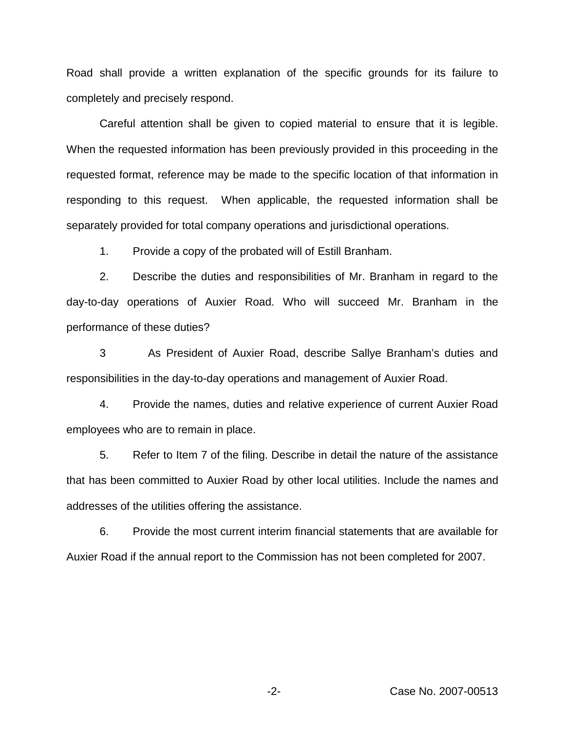Road shall provide a written explanation of the specific grounds for its failure to completely and precisely respond.

Careful attention shall be given to copied material to ensure that it is legible. When the requested information has been previously provided in this proceeding in the requested format, reference may be made to the specific location of that information in responding to this request. When applicable, the requested information shall be separately provided for total company operations and jurisdictional operations.

1. Provide a copy of the probated will of Estill Branham.

2. Describe the duties and responsibilities of Mr. Branham in regard to the day-to-day operations of Auxier Road. Who will succeed Mr. Branham in the performance of these duties?

3 As President of Auxier Road, describe Sallye Branham's duties and responsibilities in the day-to-day operations and management of Auxier Road.

4. Provide the names, duties and relative experience of current Auxier Road employees who are to remain in place.

5. Refer to Item 7 of the filing. Describe in detail the nature of the assistance that has been committed to Auxier Road by other local utilities. Include the names and addresses of the utilities offering the assistance.

6. Provide the most current interim financial statements that are available for Auxier Road if the annual report to the Commission has not been completed for 2007.

-2- Case No. 2007-00513